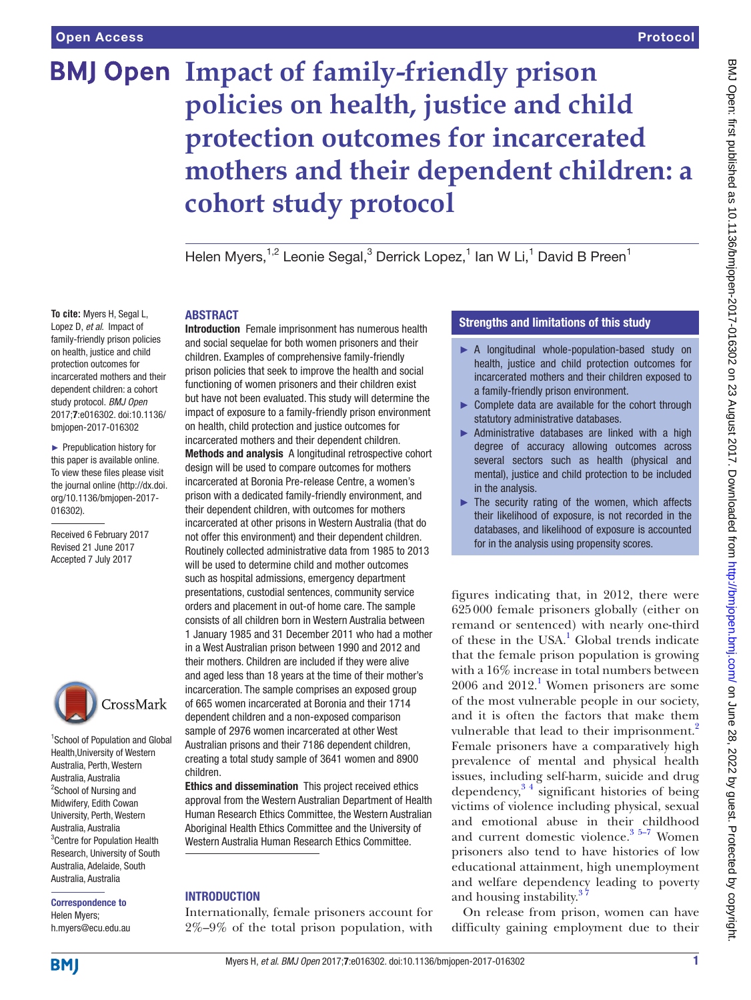# **BMJ Open Impact of family-friendly prison policies on health, justice and child protection outcomes for incarcerated mothers and their dependent children: a cohort study protocol**

Helen Myers,<sup>1,2</sup> Leonie Segal,<sup>3</sup> Derrick Lopez,<sup>1</sup> Ian W Li,<sup>1</sup> David B Preen<sup>1</sup>

### **ABSTRACT**

**To cite:** Myers H, Segal L, Lopez D, *et al*. Impact of family-friendly prison policies on health, justice and child protection outcomes for incarcerated mothers and their dependent children: a cohort study protocol. *BMJ Open* 2017;7:e016302. doi:10.1136/ bmjopen-2017-016302

► Prepublication history for this paper is available online. To view these files please visit the journal online [\(http://dx.doi.](http://dx.doi.org/10.1136/bmjopen-2017-016302) [org/10.1136/bmjopen-2017-](http://dx.doi.org/10.1136/bmjopen-2017-016302) [016302\)](http://dx.doi.org/10.1136/bmjopen-2017-016302).

Received 6 February 2017 Revised 21 June 2017 Accepted 7 July 2017



1 School of Population and Global Health,University of Western Australia, Perth, Western Australia, Australia <sup>2</sup>School of Nursing and Midwifery, Edith Cowan University, Perth, Western Australia, Australia <sup>3</sup> Centre for Population Health Research, University of South Australia, Adelaide, South Australia, Australia

Correspondence to Helen Myers; h.myers@ecu.edu.au Introduction Female imprisonment has numerous health and social sequelae for both women prisoners and their children. Examples of comprehensive family-friendly prison policies that seek to improve the health and social functioning of women prisoners and their children exist but have not been evaluated. This study will determine the impact of exposure to a family-friendly prison environment on health, child protection and justice outcomes for incarcerated mothers and their dependent children. Methods and analysis A longitudinal retrospective cohort design will be used to compare outcomes for mothers incarcerated at Boronia Pre-release Centre, a women's

prison with a dedicated family-friendly environment, and their dependent children, with outcomes for mothers incarcerated at other prisons in Western Australia (that do not offer this environment) and their dependent children. Routinely collected administrative data from 1985 to 2013 will be used to determine child and mother outcomes such as hospital admissions, emergency department presentations, custodial sentences, community service orders and placement in out-of home care. The sample consists of all children born in Western Australia between 1 January 1985 and 31 December 2011 who had a mother in a West Australian prison between 1990 and 2012 and their mothers. Children are included if they were alive and aged less than 18 years at the time of their mother's incarceration. The sample comprises an exposed group of 665 women incarcerated at Boronia and their 1714 dependent children and a non-exposed comparison sample of 2976 women incarcerated at other West Australian prisons and their 7186 dependent children, creating a total study sample of 3641 women and 8900 children.

Ethics and dissemination This project received ethics approval from the Western Australian Department of Health Human Research Ethics Committee, the Western Australian Aboriginal Health Ethics Committee and the University of Western Australia Human Research Ethics Committee.

#### **INTRODUCTION**

Internationally, female prisoners account for 2%–9% of the total prison population, with

#### Strengths and limitations of this study

- ► A longitudinal whole-population-based study on health, justice and child protection outcomes for incarcerated mothers and their children exposed to a family-friendly prison environment.
- ► Complete data are available for the cohort through statutory administrative databases.
- $\triangleright$  Administrative databases are linked with a high degree of accuracy allowing outcomes across several sectors such as health (physical and mental), justice and child protection to be included in the analysis.
- $\blacktriangleright$  The security rating of the women, which affects their likelihood of exposure, is not recorded in the databases, and likelihood of exposure is accounted for in the analysis using propensity scores.

figures indicating that, in 2012, there were 625000 female prisoners globally (either on remand or sentenced) with nearly one-third of these in the USA.<sup>[1](#page-5-0)</sup> Global trends indicate that the female prison population is growing with a 16% increase in total numbers between 2006 and 2012.<sup>1</sup> Women prisoners are some of the most vulnerable people in our society, and it is often the factors that make them vulnerable that lead to their imprisonment.<sup>2</sup> Female prisoners have a comparatively high prevalence of mental and physical health issues, including self-harm, suicide and drug dependency,  $3<sup>4</sup>$  significant histories of being victims of violence including physical, sexual and emotional abuse in their childhood and current domestic violence. $35-7$  Women prisoners also tend to have histories of low educational attainment, high unemployment and welfare dependency leading to poverty and housing instability.<sup>37</sup>

On release from prison, women can have difficulty gaining employment due to their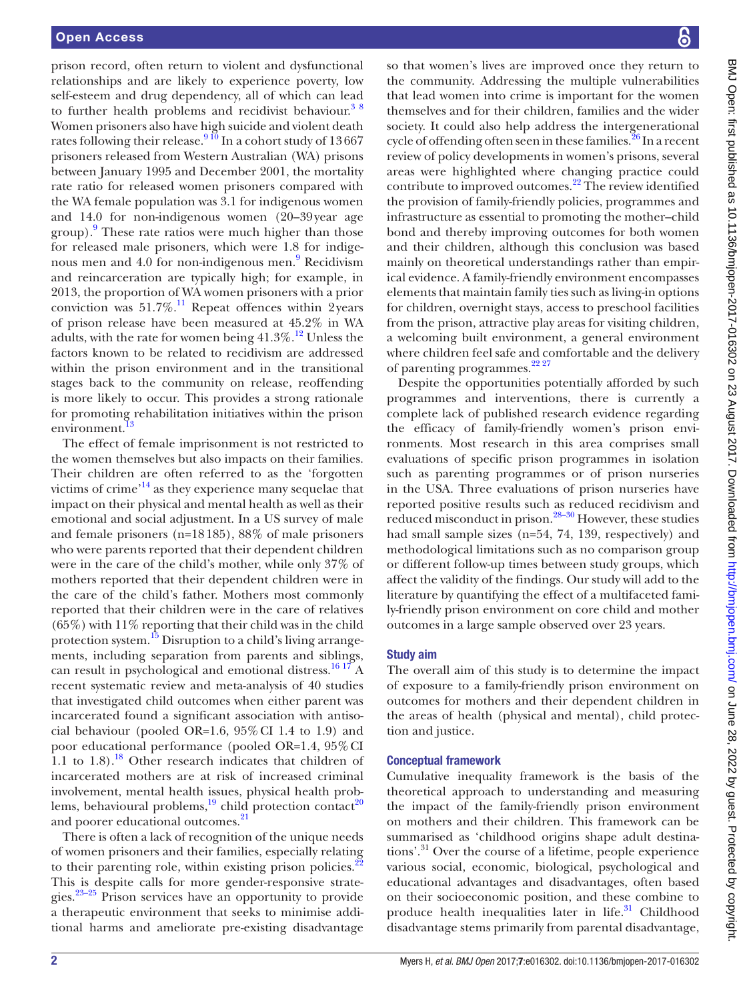prison record, often return to violent and dysfunctional relationships and are likely to experience poverty, low self-esteem and drug dependency, all of which can lead to further health problems and recidivist behaviour.<sup>38</sup> Women prisoners also have high suicide and violent death rates following their release.<sup>[9 10](#page-5-3)</sup> In a cohort study of 13667 prisoners released from Western Australian (WA) prisons between January 1995 and December 2001, the mortality rate ratio for released women prisoners compared with the WA female population was 3.1 for indigenous women and 14.0 for non-indigenous women (20–39year age group).<sup>[9](#page-5-3)</sup> These rate ratios were much higher than those for released male prisoners, which were 1.8 for indige-nous men and 4.0 for non-indigenous men.<sup>[9](#page-5-3)</sup> Recidivism and reincarceration are typically high; for example, in 2013, the proportion of WA women prisoners with a prior conviction was  $51.7\%$ .<sup>11</sup> Repeat offences within 2years of prison release have been measured at 45.2% in WA adults, with the rate for women being  $41.3\%$ .<sup>12</sup> Unless the factors known to be related to recidivism are addressed within the prison environment and in the transitional stages back to the community on release, reoffending is more likely to occur. This provides a strong rationale for promoting rehabilitation initiatives within the prison environment.

The effect of female imprisonment is not restricted to the women themselves but also impacts on their families. Their children are often referred to as the 'forgotten victims of crime['14](#page-5-7) as they experience many sequelae that impact on their physical and mental health as well as their emotional and social adjustment. In a US survey of male and female prisoners (n=18185), 88% of male prisoners who were parents reported that their dependent children were in the care of the child's mother, while only 37% of mothers reported that their dependent children were in the care of the child's father. Mothers most commonly reported that their children were in the care of relatives  $(65\%)$  with  $11\%$  reporting that their child was in the child protection system.<sup>15</sup> Disruption to a child's living arrangements, including separation from parents and siblings, can result in psychological and emotional distress.<sup>[16 17](#page-5-9)</sup> A recent systematic review and meta-analysis of 40 studies that investigated child outcomes when either parent was incarcerated found a significant association with antisocial behaviour (pooled OR=1.6, 95%CI 1.4 to 1.9) and poor educational performance (pooled OR=1.4, 95%CI 1.1 to  $1.8$ ).<sup>18</sup> Other research indicates that children of incarcerated mothers are at risk of increased criminal involvement, mental health issues, physical health problems, behavioural problems, $^{19}$  child protection contact<sup>20</sup> and poorer educational outcomes.<sup>[21](#page-5-13)</sup>

There is often a lack of recognition of the unique needs of women prisoners and their families, especially relating to their parenting role, within existing prison policies.<sup>22</sup> This is despite calls for more gender-responsive strategies.[23–25](#page-5-15) Prison services have an opportunity to provide a therapeutic environment that seeks to minimise additional harms and ameliorate pre-existing disadvantage

so that women's lives are improved once they return to the community. Addressing the multiple vulnerabilities that lead women into crime is important for the women themselves and for their children, families and the wider society. It could also help address the intergenerational cycle of offending often seen in these families.<sup>26</sup> In a recent review of policy developments in women's prisons, several areas were highlighted where changing practice could contribute to improved outcomes.<sup>22</sup> The review identified the provision of family-friendly policies, programmes and infrastructure as essential to promoting the mother–child bond and thereby improving outcomes for both women and their children, although this conclusion was based mainly on theoretical understandings rather than empirical evidence. A family-friendly environment encompasses elements that maintain family ties such as living-in options for children, overnight stays, access to preschool facilities from the prison, attractive play areas for visiting children, a welcoming built environment, a general environment where children feel safe and comfortable and the delivery of parenting programmes.<sup>22 27</sup>

Despite the opportunities potentially afforded by such programmes and interventions, there is currently a complete lack of published research evidence regarding the efficacy of family-friendly women's prison environments. Most research in this area comprises small evaluations of specific prison programmes in isolation such as parenting programmes or of prison nurseries in the USA. Three evaluations of prison nurseries have reported positive results such as reduced recidivism and reduced misconduct in prison.[28–30](#page-5-17) However, these studies had small sample sizes (n=54, 74, 139, respectively) and methodological limitations such as no comparison group or different follow-up times between study groups, which affect the validity of the findings. Our study will add to the literature by quantifying the effect of a multifaceted family-friendly prison environment on core child and mother outcomes in a large sample observed over 23 years.

#### Study aim

The overall aim of this study is to determine the impact of exposure to a family-friendly prison environment on outcomes for mothers and their dependent children in the areas of health (physical and mental), child protection and justice.

#### Conceptual framework

Cumulative inequality framework is the basis of the theoretical approach to understanding and measuring the impact of the family-friendly prison environment on mothers and their children. This framework can be summarised as 'childhood origins shape adult destinations'.31 Over the course of a lifetime, people experience various social, economic, biological, psychological and educational advantages and disadvantages, often based on their socioeconomic position, and these combine to produce health inequalities later in life.<sup>31</sup> Childhood disadvantage stems primarily from parental disadvantage,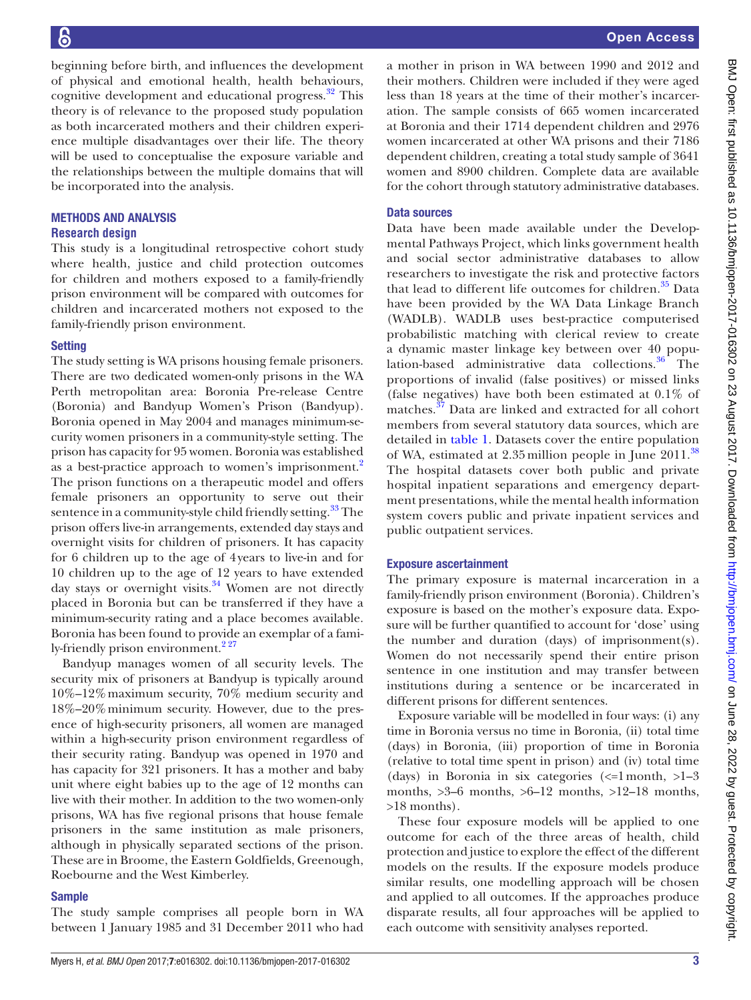beginning before birth, and influences the development of physical and emotional health, health behaviours, cognitive development and educational progress.<sup>32</sup> This theory is of relevance to the proposed study population as both incarcerated mothers and their children experience multiple disadvantages over their life. The theory will be used to conceptualise the exposure variable and the relationships between the multiple domains that will be incorporated into the analysis.

#### Methods and analysis **Research design**

This study is a longitudinal retrospective cohort study where health, justice and child protection outcomes for children and mothers exposed to a family-friendly prison environment will be compared with outcomes for children and incarcerated mothers not exposed to the family-friendly prison environment.

#### **Setting**

The study setting is WA prisons housing female prisoners. There are two dedicated women-only prisons in the WA Perth metropolitan area: Boronia Pre-release Centre (Boronia) and Bandyup Women's Prison (Bandyup). Boronia opened in May 2004 and manages minimum-security women prisoners in a community-style setting. The prison has capacity for 95 women. Boronia was established as a best-practice approach to women's imprisonment.<sup>[2](#page-5-1)</sup> The prison functions on a therapeutic model and offers female prisoners an opportunity to serve out their sentence in a community-style child friendly setting.<sup>33</sup> The prison offers live-in arrangements, extended day stays and overnight visits for children of prisoners. It has capacity for 6 children up to the age of 4years to live-in and for 10 children up to the age of 12 years to have extended day stays or overnight visits.<sup>34</sup> Women are not directly placed in Boronia but can be transferred if they have a minimum-security rating and a place becomes available. Boronia has been found to provide an exemplar of a family-friendly prison environment.<sup>227</sup>

Bandyup manages women of all security levels. The security mix of prisoners at Bandyup is typically around 10%–12%maximum security, 70% medium security and 18%–20%minimum security. However, due to the presence of high-security prisoners, all women are managed within a high-security prison environment regardless of their security rating. Bandyup was opened in 1970 and has capacity for 321 prisoners. It has a mother and baby unit where eight babies up to the age of 12 months can live with their mother. In addition to the two women-only prisons, WA has five regional prisons that house female prisoners in the same institution as male prisoners, although in physically separated sections of the prison. These are in Broome, the Eastern Goldfields, Greenough, Roebourne and the West Kimberley.

#### Sample

The study sample comprises all people born in WA between 1 January 1985 and 31 December 2011 who had a mother in prison in WA between 1990 and 2012 and their mothers. Children were included if they were aged less than 18 years at the time of their mother's incarceration. The sample consists of 665 women incarcerated at Boronia and their 1714 dependent children and 2976 women incarcerated at other WA prisons and their 7186 dependent children, creating a total study sample of 3641 women and 8900 children. Complete data are available for the cohort through statutory administrative databases.

#### Data sources

Data have been made available under the Developmental Pathways Project, which links government health and social sector administrative databases to allow researchers to investigate the risk and protective factors that lead to different life outcomes for children.<sup>[35](#page-5-22)</sup> Data have been provided by the WA Data Linkage Branch (WADLB). WADLB uses best-practice computerised probabilistic matching with clerical review to create a dynamic master linkage key between over 40 population-based administrative data collections. $36$  The proportions of invalid (false positives) or missed links (false negatives) have both been estimated at 0.1% of matches.<sup>[37](#page-5-24)</sup> Data are linked and extracted for all cohort members from several statutory data sources, which are detailed in [table](#page-3-0) 1. Datasets cover the entire population of WA, estimated at 2.35 million people in June 2011.<sup>[38](#page-5-25)</sup> The hospital datasets cover both public and private hospital inpatient separations and emergency department presentations, while the mental health information system covers public and private inpatient services and public outpatient services.

#### Exposure ascertainment

The primary exposure is maternal incarceration in a family-friendly prison environment (Boronia). Children's exposure is based on the mother's exposure data. Exposure will be further quantified to account for 'dose' using the number and duration (days) of imprisonment(s). Women do not necessarily spend their entire prison sentence in one institution and may transfer between institutions during a sentence or be incarcerated in different prisons for different sentences.

Exposure variable will be modelled in four ways: (i) any time in Boronia versus no time in Boronia, (ii) total time (days) in Boronia, (iii) proportion of time in Boronia (relative to total time spent in prison) and (iv) total time (days) in Boronia in six categories  $\ll 1$  month,  $>1-3$ months,  $>3-6$  months,  $>6-12$  months,  $>12-18$  months, >18 months).

These four exposure models will be applied to one outcome for each of the three areas of health, child protection and justice to explore the effect of the different models on the results. If the exposure models produce similar results, one modelling approach will be chosen and applied to all outcomes. If the approaches produce disparate results, all four approaches will be applied to each outcome with sensitivity analyses reported.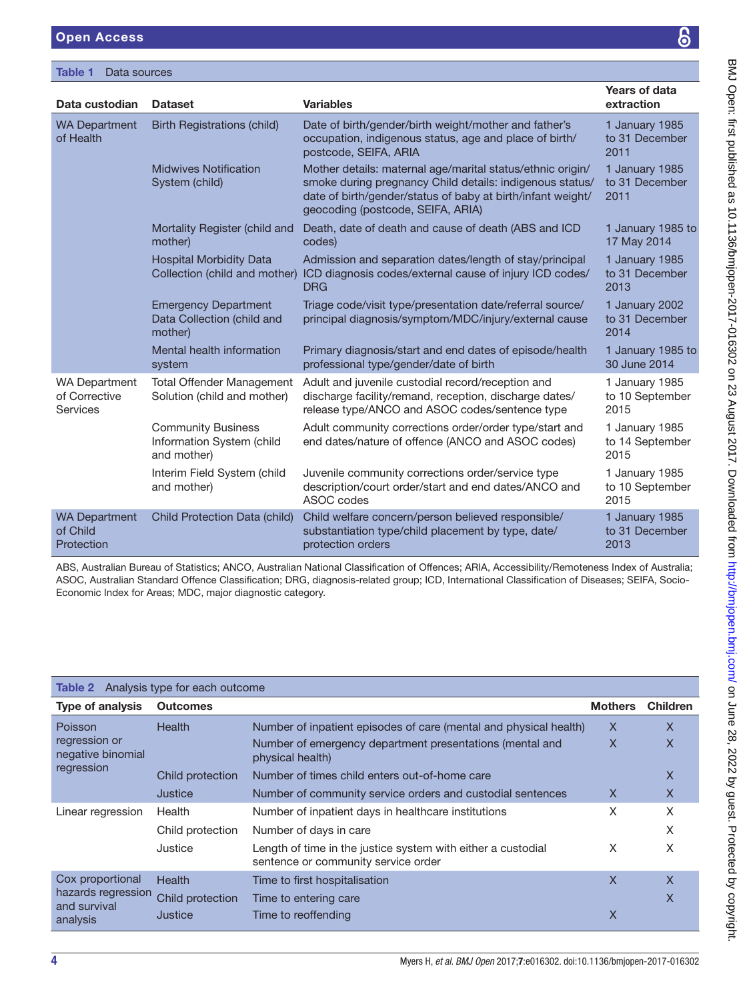#### <span id="page-3-0"></span>Table 1 Data sources

| Data custodian                                           | <b>Dataset</b>                                                        | <b>Variables</b>                                                                                                                                                                                                           | Years of data<br>extraction               |
|----------------------------------------------------------|-----------------------------------------------------------------------|----------------------------------------------------------------------------------------------------------------------------------------------------------------------------------------------------------------------------|-------------------------------------------|
| <b>WA Department</b><br>of Health                        | <b>Birth Registrations (child)</b>                                    | Date of birth/gender/birth weight/mother and father's<br>occupation, indigenous status, age and place of birth/<br>postcode, SEIFA, ARIA                                                                                   | 1 January 1985<br>to 31 December<br>2011  |
|                                                          | <b>Midwives Notification</b><br>System (child)                        | Mother details: maternal age/marital status/ethnic origin/<br>smoke during pregnancy Child details: indigenous status/<br>date of birth/gender/status of baby at birth/infant weight/<br>geocoding (postcode, SEIFA, ARIA) | 1 January 1985<br>to 31 December<br>2011  |
|                                                          | Mortality Register (child and<br>mother)                              | Death, date of death and cause of death (ABS and ICD<br>codes)                                                                                                                                                             | 1 January 1985 to<br>17 May 2014          |
|                                                          | <b>Hospital Morbidity Data</b><br>Collection (child and mother)       | Admission and separation dates/length of stay/principal<br>ICD diagnosis codes/external cause of injury ICD codes/<br><b>DRG</b>                                                                                           | 1 January 1985<br>to 31 December<br>2013  |
|                                                          | <b>Emergency Department</b><br>Data Collection (child and<br>mother)  | Triage code/visit type/presentation date/referral source/<br>principal diagnosis/symptom/MDC/injury/external cause                                                                                                         | 1 January 2002<br>to 31 December<br>2014  |
|                                                          | Mental health information<br>system                                   | Primary diagnosis/start and end dates of episode/health<br>professional type/gender/date of birth                                                                                                                          | 1 January 1985 to<br>30 June 2014         |
| <b>WA Department</b><br>of Corrective<br><b>Services</b> | <b>Total Offender Management</b><br>Solution (child and mother)       | Adult and juvenile custodial record/reception and<br>discharge facility/remand, reception, discharge dates/<br>release type/ANCO and ASOC codes/sentence type                                                              | 1 January 1985<br>to 10 September<br>2015 |
|                                                          | <b>Community Business</b><br>Information System (child<br>and mother) | Adult community corrections order/order type/start and<br>end dates/nature of offence (ANCO and ASOC codes)                                                                                                                | 1 January 1985<br>to 14 September<br>2015 |
|                                                          | Interim Field System (child<br>and mother)                            | Juvenile community corrections order/service type<br>description/court order/start and end dates/ANCO and<br>ASOC codes                                                                                                    | 1 January 1985<br>to 10 September<br>2015 |
| <b>WA Department</b><br>of Child<br>Protection           | Child Protection Data (child)                                         | Child welfare concern/person believed responsible/<br>substantiation type/child placement by type, date/<br>protection orders                                                                                              | 1 January 1985<br>to 31 December<br>2013  |

ABS, Australian Bureau of Statistics; ANCO, Australian National Classification of Offences; ARIA, Accessibility/Remoteness Index of Australia; ASOC, Australian Standard Offence Classification; DRG, diagnosis-related group; ICD, International Classification of Diseases; SEIFA, Socio-Economic Index for Areas; MDC, major diagnostic category.

<span id="page-3-1"></span>

| <b>Table 2</b> Analysis type for each outcome                      |                  |                                                                                                     |                |                 |  |  |  |
|--------------------------------------------------------------------|------------------|-----------------------------------------------------------------------------------------------------|----------------|-----------------|--|--|--|
| <b>Type of analysis</b>                                            | <b>Outcomes</b>  |                                                                                                     | <b>Mothers</b> | <b>Children</b> |  |  |  |
| Poisson<br>regression or<br>negative binomial<br>regression        | <b>Health</b>    | Number of inpatient episodes of care (mental and physical health)                                   | X              | X               |  |  |  |
|                                                                    |                  | Number of emergency department presentations (mental and<br>physical health)                        | $\mathsf{X}$   | X               |  |  |  |
|                                                                    | Child protection | Number of times child enters out-of-home care                                                       |                | X               |  |  |  |
|                                                                    | Justice          | Number of community service orders and custodial sentences                                          | X              | X               |  |  |  |
| Linear regression                                                  | Health           | Number of inpatient days in healthcare institutions                                                 | X              | X               |  |  |  |
|                                                                    | Child protection | Number of days in care                                                                              |                | X               |  |  |  |
|                                                                    | Justice          | Length of time in the justice system with either a custodial<br>sentence or community service order | X              | Χ               |  |  |  |
| Cox proportional<br>hazards regression<br>and survival<br>analysis | <b>Health</b>    | Time to first hospitalisation                                                                       | $\mathsf{X}$   | X               |  |  |  |
|                                                                    | Child protection | Time to entering care                                                                               |                | Χ               |  |  |  |
|                                                                    | Justice          | Time to reoffending                                                                                 | $\times$       |                 |  |  |  |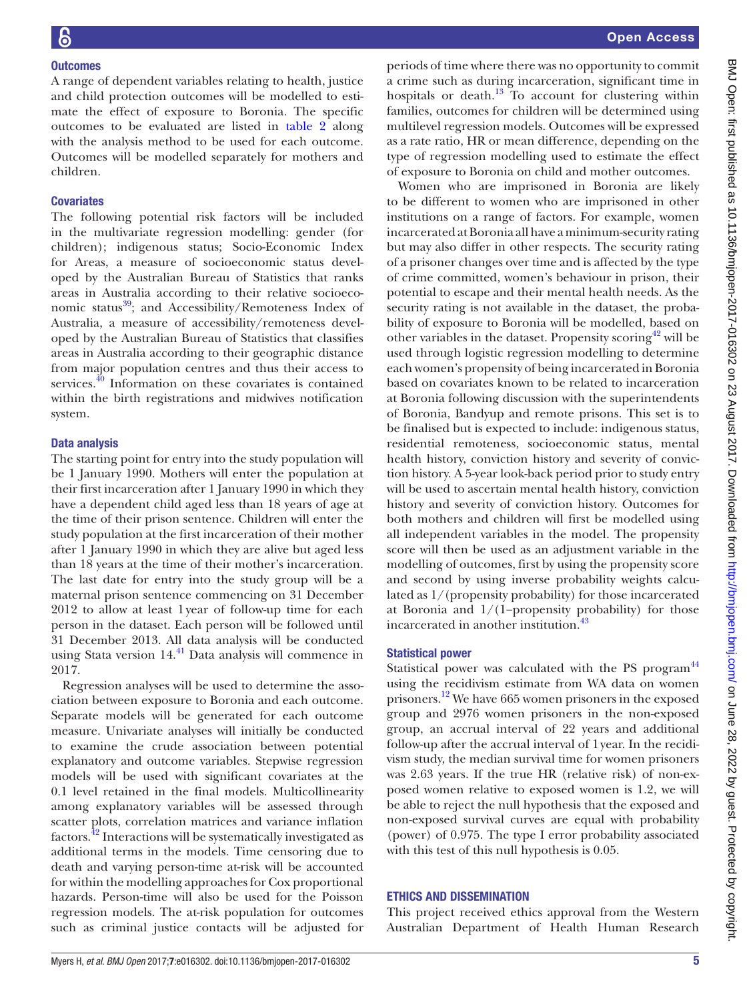#### **Outcomes**

A range of dependent variables relating to health, justice and child protection outcomes will be modelled to estimate the effect of exposure to Boronia. The specific outcomes to be evaluated are listed in [table](#page-3-1) 2 along with the analysis method to be used for each outcome. Outcomes will be modelled separately for mothers and children.

#### **Covariates**

The following potential risk factors will be included in the multivariate regression modelling: gender (for children); indigenous status; Socio-Economic Index for Areas, a measure of socioeconomic status developed by the Australian Bureau of Statistics that ranks areas in Australia according to their relative socioeconomic status $^{39}$ ; and Accessibility/Remoteness Index of Australia, a measure of accessibility/remoteness developed by the Australian Bureau of Statistics that classifies areas in Australia according to their geographic distance from major population centres and thus their access to services.<sup>40</sup> Information on these covariates is contained within the birth registrations and midwives notification system.

#### Data analysis

The starting point for entry into the study population will be 1 January 1990. Mothers will enter the population at their first incarceration after 1 January 1990 in which they have a dependent child aged less than 18 years of age at the time of their prison sentence. Children will enter the study population at the first incarceration of their mother after 1 January 1990 in which they are alive but aged less than 18 years at the time of their mother's incarceration. The last date for entry into the study group will be a maternal prison sentence commencing on 31 December 2012 to allow at least 1year of follow-up time for each person in the dataset. Each person will be followed until 31 December 2013. All data analysis will be conducted using Stata version 14.<sup>41</sup> Data analysis will commence in 2017.

Regression analyses will be used to determine the association between exposure to Boronia and each outcome. Separate models will be generated for each outcome measure. Univariate analyses will initially be conducted to examine the crude association between potential explanatory and outcome variables. Stepwise regression models will be used with significant covariates at the 0.1 level retained in the final models. Multicollinearity among explanatory variables will be assessed through scatter plots, correlation matrices and variance inflation factors.[42](#page-6-0) Interactions will be systematically investigated as additional terms in the models. Time censoring due to death and varying person-time at-risk will be accounted for within the modelling approaches for Cox proportional hazards. Person-time will also be used for the Poisson regression models. The at-risk population for outcomes such as criminal justice contacts will be adjusted for

periods of time where there was no opportunity to commit a crime such as during incarceration, significant time in hospitals or death.<sup>13</sup> To account for clustering within families, outcomes for children will be determined using multilevel regression models. Outcomes will be expressed as a rate ratio, HR or mean difference, depending on the type of regression modelling used to estimate the effect of exposure to Boronia on child and mother outcomes.

Women who are imprisoned in Boronia are likely to be different to women who are imprisoned in other institutions on a range of factors. For example, women incarcerated at Boronia all have a minimum-security rating but may also differ in other respects. The security rating of a prisoner changes over time and is affected by the type of crime committed, women's behaviour in prison, their potential to escape and their mental health needs. As the security rating is not available in the dataset, the probability of exposure to Boronia will be modelled, based on other variables in the dataset. Propensity scoring  $42$  will be used through logistic regression modelling to determine each women's propensity of being incarcerated in Boronia based on covariates known to be related to incarceration at Boronia following discussion with the superintendents of Boronia, Bandyup and remote prisons. This set is to be finalised but is expected to include: indigenous status, residential remoteness, socioeconomic status, mental health history, conviction history and severity of conviction history. A 5-year look-back period prior to study entry will be used to ascertain mental health history, conviction history and severity of conviction history. Outcomes for both mothers and children will first be modelled using all independent variables in the model. The propensity score will then be used as an adjustment variable in the modelling of outcomes, first by using the propensity score and second by using inverse probability weights calculated as 1/(propensity probability) for those incarcerated at Boronia and 1/(1−propensity probability) for those incarcerated in another institution.<sup>43</sup>

#### Statistical power

Statistical power was calculated with the PS program<sup>[44](#page-6-2)</sup> using the recidivism estimate from WA data on women prisoners.[12](#page-5-5) We have 665 women prisoners in the exposed group and 2976 women prisoners in the non-exposed group, an accrual interval of 22 years and additional follow-up after the accrual interval of 1year. In the recidivism study, the median survival time for women prisoners was 2.63 years. If the true HR (relative risk) of non-exposed women relative to exposed women is 1.2, we will be able to reject the null hypothesis that the exposed and non-exposed survival curves are equal with probability (power) of 0.975. The type I error probability associated with this test of this null hypothesis is 0.05.

#### Ethics and dissemination

This project received ethics approval from the Western Australian Department of Health Human Research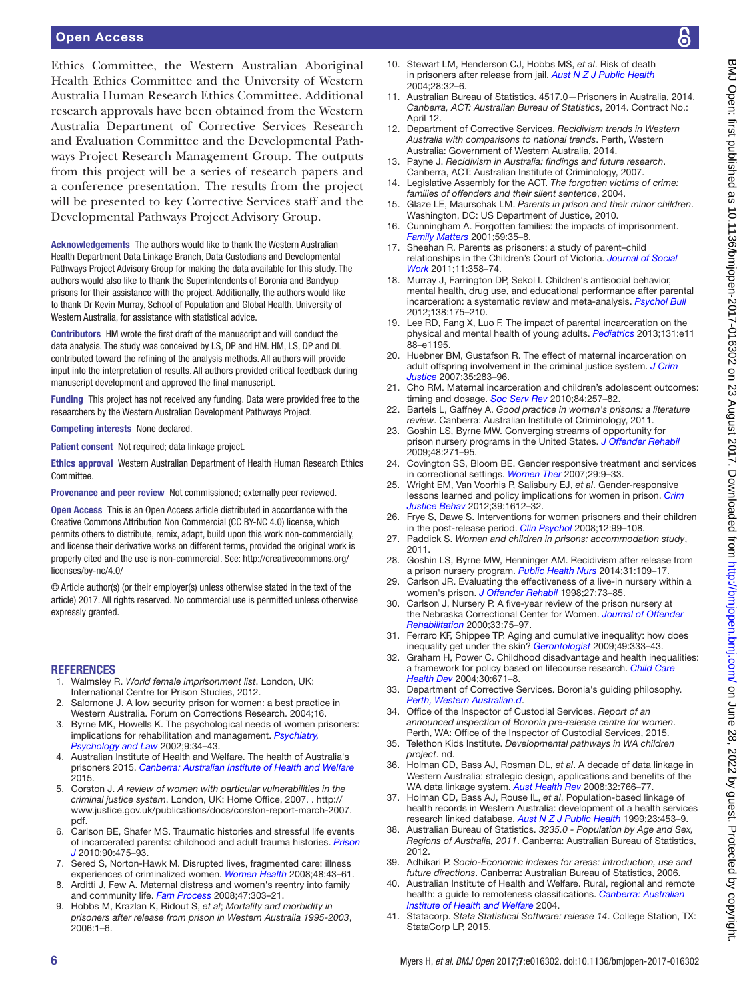#### Open Access

Ethics Committee, the Western Australian Aboriginal Health Ethics Committee and the University of Western Australia Human Research Ethics Committee. Additional research approvals have been obtained from the Western Australia Department of Corrective Services Research and Evaluation Committee and the Developmental Pathways Project Research Management Group. The outputs from this project will be a series of research papers and a conference presentation. The results from the project will be presented to key Corrective Services staff and the Developmental Pathways Project Advisory Group.

Acknowledgements The authors would like to thank the Western Australian Health Department Data Linkage Branch, Data Custodians and Developmental Pathways Project Advisory Group for making the data available for this study. The authors would also like to thank the Superintendents of Boronia and Bandyup prisons for their assistance with the project. Additionally, the authors would like to thank Dr Kevin Murray, School of Population and Global Health, University of Western Australia, for assistance with statistical advice.

Contributors HM wrote the first draft of the manuscript and will conduct the data analysis. The study was conceived by LS, DP and HM. HM, LS, DP and DL contributed toward the refining of the analysis methods. All authors will provide input into the interpretation of results. All authors provided critical feedback during manuscript development and approved the final manuscript.

Funding This project has not received any funding. Data were provided free to the researchers by the Western Australian Development Pathways Project.

Competing interests None declared.

Patient consent Not required; data linkage project.

Ethics approval Western Australian Department of Health Human Research Ethics **Committee** 

Provenance and peer review Not commissioned; externally peer reviewed.

Open Access This is an Open Access article distributed in accordance with the Creative Commons Attribution Non Commercial (CC BY-NC 4.0) license, which permits others to distribute, remix, adapt, build upon this work non-commercially, and license their derivative works on different terms, provided the original work is properly cited and the use is non-commercial. See: [http://creativecommons.org/](http://creativecommons.org/licenses/by-nc/4.0/) [licenses/by-nc/4.0/](http://creativecommons.org/licenses/by-nc/4.0/)

© Article author(s) (or their employer(s) unless otherwise stated in the text of the article) 2017. All rights reserved. No commercial use is permitted unless otherwise expressly granted.

#### **REFERENCES**

- <span id="page-5-0"></span>1. Walmsley R. *World female imprisonment list*. London, UK: International Centre for Prison Studies, 2012.
- <span id="page-5-1"></span>Salomone J. A low security prison for women: a best practice in Western Australia. Forum on Corrections Research. 2004;16.
- <span id="page-5-2"></span>3. Byrne MK, Howells K. The psychological needs of women prisoners: implications for rehabilitation and management. *[Psychiatry,](http://dx.doi.org/10.1375/pplt.2002.9.1.34)  [Psychology and Law](http://dx.doi.org/10.1375/pplt.2002.9.1.34)* 2002;9:34–43.
- 4. Australian Institute of Health and Welfare. The health of Australia's prisoners 2015. *Canberra: Australian Institute of Health and Welfare* 2015.
- 5. Corston J. *A review of women with particular vulnerabilities in the criminal justice system*. London, UK: Home Office, 2007. . [http://](http://www.justice.gov.uk/publications/docs/corston-report-march-2007.pdf) [www.justice.gov.uk/publications/docs/corston-report-march-2007.](http://www.justice.gov.uk/publications/docs/corston-report-march-2007.pdf) [pdf.](http://www.justice.gov.uk/publications/docs/corston-report-march-2007.pdf)
- 6. Carlson BE, Shafer MS. Traumatic histories and stressful life events of incarcerated parents: childhood and adult trauma histories. *[Prison](http://dx.doi.org/10.1177/0032885510382224)  [J](http://dx.doi.org/10.1177/0032885510382224)* 2010;90:475–93.
- 7. Sered S, Norton-Hawk M. Disrupted lives, fragmented care: illness experiences of criminalized women. *[Women Health](http://dx.doi.org/10.1080/03630240802131999)* 2008;48:43–61.
- 8. Arditti J, Few A. Maternal distress and women's reentry into family and community life. *[Fam Process](http://dx.doi.org/10.1111/j.1545-5300.2008.00255.x)* 2008;47:303–21.
- <span id="page-5-3"></span>9. Hobbs M, Krazlan K, Ridout S, *et al*; *Mortality and morbidity in prisoners after release from prison in Western Australia 1995-2003*, 2006:1–6.
- 10. Stewart LM, Henderson CJ, Hobbs MS, *et al*. Risk of death in prisoners after release from jail. *[Aust N Z J Public Health](http://dx.doi.org/10.1111/j.1467-842X.2004.tb00629.x)* 2004;28:32–6.
- <span id="page-5-4"></span>11. Australian Bureau of Statistics. 4517.0—Prisoners in Australia, 2014. *Canberra, ACT: Australian Bureau of Statistics*, 2014. Contract No.: April 12.
- <span id="page-5-5"></span>12. Department of Corrective Services. *Recidivism trends in Western Australia with comparisons to national trends*. Perth, Western Australia: Government of Western Australia, 2014.
- <span id="page-5-6"></span>13. Payne J. *Recidivism in Australia: findings and future research*. Canberra, ACT: Australian Institute of Criminology, 2007.
- <span id="page-5-7"></span>14. Legislative Assembly for the ACT. *The forgotten victims of crime: families of offenders and their silent sentence*, 2004.
- <span id="page-5-8"></span>15. Glaze LE, Maurschak LM. *Parents in prison and their minor children*. Washington, DC: US Department of Justice, 2010.
- <span id="page-5-9"></span>16. Cunningham A. Forgotten families: the impacts of imprisonment. *Family Matters* 2001;59:35–8.
- 17. Sheehan R. Parents as prisoners: a study of parent–child relationships in the Children's Court of Victoria. *[Journal of Social](http://dx.doi.org/10.1177/1468017310379929)  [Work](http://dx.doi.org/10.1177/1468017310379929)* 2011;11:358–74.
- <span id="page-5-10"></span>18. Murray J, Farrington DP, Sekol I. Children's antisocial behavior, mental health, drug use, and educational performance after parental incarceration: a systematic review and meta-analysis. *[Psychol Bull](http://dx.doi.org/10.1037/a0026407)* 2012;138:175–210.
- <span id="page-5-11"></span>19. Lee RD, Fang X, Luo F. The impact of parental incarceration on the physical and mental health of young adults. *[Pediatrics](http://dx.doi.org/10.1542/peds.2012-0627)* 2013;131:e11 88–e1195.
- <span id="page-5-12"></span>20. Huebner BM, Gustafson R. The effect of maternal incarceration on adult offspring involvement in the criminal justice system. *[J Crim](http://dx.doi.org/10.1016/j.jcrimjus.2007.03.005)  [Justice](http://dx.doi.org/10.1016/j.jcrimjus.2007.03.005)* 2007;35:283–96.
- <span id="page-5-13"></span>21. Cho RM. Maternal incarceration and children's adolescent outcomes: timing and dosage. *[Soc Serv Rev](http://dx.doi.org/10.1086/653456)* 2010;84:257–82.
- <span id="page-5-14"></span>22. Bartels L, Gaffney A. *Good practice in women's prisons: a literature review*. Canberra: Australian Institute of Criminology, 2011.
- <span id="page-5-15"></span>23. Goshin LS, Byrne MW. Converging streams of opportunity for prison nursery programs in the United States. *[J Offender Rehabil](http://dx.doi.org/10.1080/10509670902848972)* 2009;48:271–95.
- 24. Covington SS, Bloom BE. Gender responsive treatment and services in correctional settings. *[Women Ther](http://dx.doi.org/10.1300/J015v29n03_02)* 2007;29:9–33.
- 25. Wright EM, Van Voorhis P, Salisbury EJ, *et al*. Gender-responsive lessons learned and policy implications for women in prison. *[Crim](http://dx.doi.org/10.1177/0093854812451088)  [Justice Behav](http://dx.doi.org/10.1177/0093854812451088)* 2012;39:1612–32.
- <span id="page-5-16"></span>26. Frye S, Dawe S. Interventions for women prisoners and their children in the post-release period. *[Clin Psychol](http://dx.doi.org/10.1080/13284200802516522)* 2008;12:99–108.
- 27. Paddick S. *Women and children in prisons: accommodation study*, 2011.
- <span id="page-5-17"></span>28. Goshin LS, Byrne MW, Henninger AM. Recidivism after release from a prison nursery program. *[Public Health Nurs](http://dx.doi.org/10.1111/phn.12072)* 2014;31:109–17.
- 29. Carlson JR. Evaluating the effectiveness of a live-in nursery within a women's prison. *[J Offender Rehabil](http://dx.doi.org/10.1300/J076v27n01_06)* 1998;27:73–85.
- 30. Carlson J, Nursery P. A five-year review of the prison nursery at the Nebraska Correctional Center for Women. *Journal of Offender Rehabilitation* 2000;33:75–97.
- <span id="page-5-18"></span>31. Ferraro KF, Shippee TP. Aging and cumulative inequality: how does inequality get under the skin? *[Gerontologist](http://dx.doi.org/10.1093/geront/gnp034)* 2009;49:333–43.
- <span id="page-5-19"></span>32. Graham H, Power C. Childhood disadvantage and health inequalities: a framework for policy based on lifecourse research. *[Child Care](http://dx.doi.org/10.1111/j.1365-2214.2004.00457.x)  [Health Dev](http://dx.doi.org/10.1111/j.1365-2214.2004.00457.x)* 2004;30:671–8.
- <span id="page-5-20"></span>33. Department of Corrective Services. Boronia's guiding philosophy. *Perth, Western Australian.d*.

<span id="page-5-21"></span>34. Office of the Inspector of Custodial Services. *Report of an announced inspection of Boronia pre-release centre for women*. Perth, WA: Office of the Inspector of Custodial Services, 2015.

- <span id="page-5-22"></span>35. Telethon Kids Institute. *Developmental pathways in WA children project*. nd.
- <span id="page-5-23"></span>36. Holman CD, Bass AJ, Rosman DL, *et al*. A decade of data linkage in Western Australia: strategic design, applications and benefits of the WA data linkage system. *[Aust Health Rev](http://dx.doi.org/10.1071/AH080766)* 2008;32:766–77.
- <span id="page-5-24"></span>37. Holman CD, Bass AJ, Rouse IL, *et al*. Population-based linkage of health records in Western Australia: development of a health services research linked database. *[Aust N Z J Public Health](http://dx.doi.org/10.1111/j.1467-842X.1999.tb01297.x)* 1999;23:453–9.
- <span id="page-5-25"></span>38. Australian Bureau of Statistics. *3235.0 - Population by Age and Sex, Regions of Australia, 2011*. Canberra: Australian Bureau of Statistics, 2012.
- <span id="page-5-26"></span>39. Adhikari P. *Socio-Economic indexes for areas: introduction, use and future directions*. Canberra: Australian Bureau of Statistics, 2006.
- <span id="page-5-27"></span>40. Australian Institute of Health and Welfare. Rural, regional and remote health: a guide to remoteness classifications. *Canberra: Australian Institute of Health and Welfare* 2004.
- <span id="page-5-28"></span>41. Statacorp. *Stata Statistical Software: release 14*. College Station, TX: StataCorp LP, 2015.